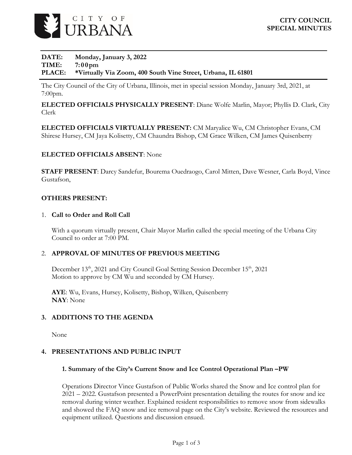

### **DATE: Monday, January 3, 2022 TIME: 7:00pm PLACE: \*Virtually Via Zoom, 400 South Vine Street, Urbana, IL 61801**

The City Council of the City of Urbana, Illinois, met in special session Monday, January 3rd, 2021, at 7:00pm.

**ELECTED OFFICIALS PHYSICALLY PRESENT**: Diane Wolfe Marlin, Mayor; Phyllis D. Clark, City Clerk

**ELECTED OFFICIALS VIRTUALLY PRESENT:** CM Maryalice Wu, CM Christopher Evans, CM Shirese Hursey, CM Jaya Kolisetty, CM Chaundra Bishop, CM Grace Wilken, CM James Quisenberry

### **ELECTED OFFICIALS ABSENT**: None

**STAFF PRESENT**: Darcy Sandefur, Bourema Ouedraogo, Carol Mitten, Dave Wesner, Carla Boyd, Vince Gustafson,

### **OTHERS PRESENT:**

### 1. **Call to Order and Roll Call**

With a quorum virtually present, Chair Mayor Marlin called the special meeting of the Urbana City Council to order at 7:00 PM.

### 2. **APPROVAL OF MINUTES OF PREVIOUS MEETING**

December 13<sup>th</sup>, 2021 and City Council Goal Setting Session December 15<sup>th</sup>, 2021 Motion to approve by CM Wu and seconded by CM Hursey.

**AYE**: Wu, Evans, Hursey, Kolisetty, Bishop, Wilken, Quisenberry **NAY**: None

## **3. ADDITIONS TO THE AGENDA**

None

### **4. PRESENTATIONS AND PUBLIC INPUT**

### **1. Summary of the City's Current Snow and Ice Control Operational Plan –PW**

Operations Director Vince Gustafson of Public Works shared the Snow and Ice control plan for 2021 – 2022. Gustafson presented a PowerPoint presentation detailing the routes for snow and ice removal during winter weather. Explained resident responsibilities to remove snow from sidewalks and showed the FAQ snow and ice removal page on the City's website. Reviewed the resources and equipment utilized. Questions and discussion ensued.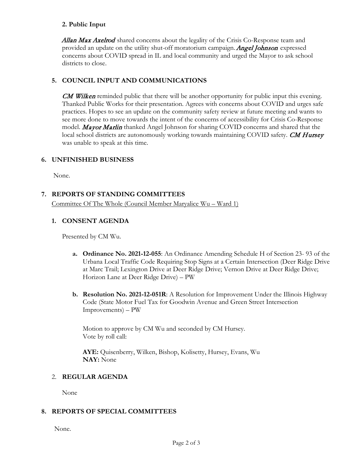### **2. Public Input**

Allan Max Axelrod shared concerns about the legality of the Crisis Co-Response team and provided an update on the utility shut-off moratorium campaign. **Angel Johnson** expressed concerns about COVID spread in IL and local community and urged the Mayor to ask school districts to close.

# **5. COUNCIL INPUT AND COMMUNICATIONS**

**CM Wilken** reminded public that there will be another opportunity for public input this evening. Thanked Public Works for their presentation. Agrees with concerns about COVID and urges safe practices. Hopes to see an update on the community safety review at future meeting and wants to see more done to move towards the intent of the concerns of accessibility for Crisis Co-Response model. Mayor Marlin thanked Angel Johnson for sharing COVID concerns and shared that the local school districts are autonomously working towards maintaining COVID safety. **CM Hursey** was unable to speak at this time.

## **6. UNFINISHED BUSINESS**

None.

# **7. REPORTS OF STANDING COMMITTEES**

Committee Of The Whole (Council Member Maryalice Wu – Ward 1)

# **1. CONSENT AGENDA**

Presented by CM Wu.

- **a. Ordinance No. 2021-12-055**: An Ordinance Amending Schedule H of Section 23- 93 of the Urbana Local Traffic Code Requiring Stop Signs at a Certain Intersection (Deer Ridge Drive at Marc Trail; Lexington Drive at Deer Ridge Drive; Vernon Drive at Deer Ridge Drive; Horizon Lane at Deer Ridge Drive) – PW
- **b. Resolution No. 2021-12-051R**: A Resolution for Improvement Under the Illinois Highway Code (State Motor Fuel Tax for Goodwin Avenue and Green Street Intersection Improvements) – PW

Motion to approve by CM Wu and seconded by CM Hursey. Vote by roll call:

**AYE:** Quisenberry, Wilken, Bishop, Kolisetty, Hursey, Evans, Wu **NAY:** None

## 2. **REGULAR AGENDA**

None

## **8. REPORTS OF SPECIAL COMMITTEES**

None.